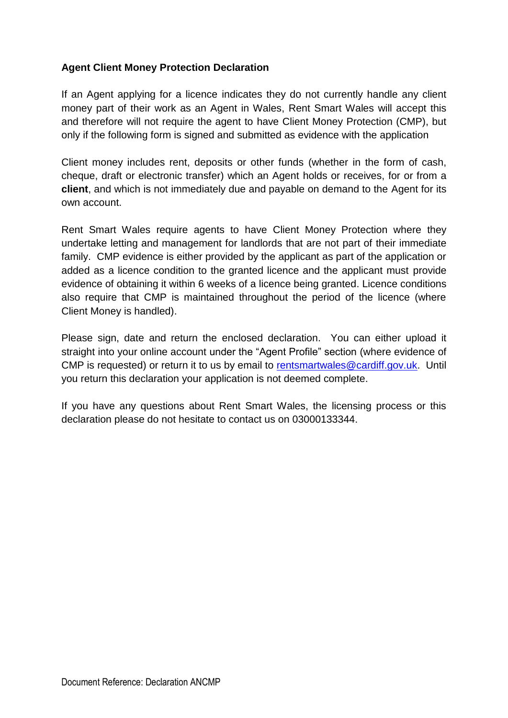## **Agent Client Money Protection Declaration**

If an Agent applying for a licence indicates they do not currently handle any client money part of their work as an Agent in Wales, Rent Smart Wales will accept this and therefore will not require the agent to have Client Money Protection (CMP), but only if the following form is signed and submitted as evidence with the application

Client money includes rent, deposits or other funds (whether in the form of cash, cheque, draft or electronic transfer) which an Agent holds or receives, for or from a **client**, and which is not immediately due and payable on demand to the Agent for its own account.

Rent Smart Wales require agents to have Client Money Protection where they undertake letting and management for landlords that are not part of their immediate family. CMP evidence is either provided by the applicant as part of the application or added as a licence condition to the granted licence and the applicant must provide evidence of obtaining it within 6 weeks of a licence being granted. Licence conditions also require that CMP is maintained throughout the period of the licence (where Client Money is handled).

Please sign, date and return the enclosed declaration. You can either upload it straight into your online account under the "Agent Profile" section (where evidence of CMP is requested) or return it to us by email to [rentsmartwales@cardiff.gov.uk.](mailto:rentsmartwales@cardiff.gov.uk) Until you return this declaration your application is not deemed complete.

If you have any questions about Rent Smart Wales, the licensing process or this declaration please do not hesitate to contact us on 03000133344.